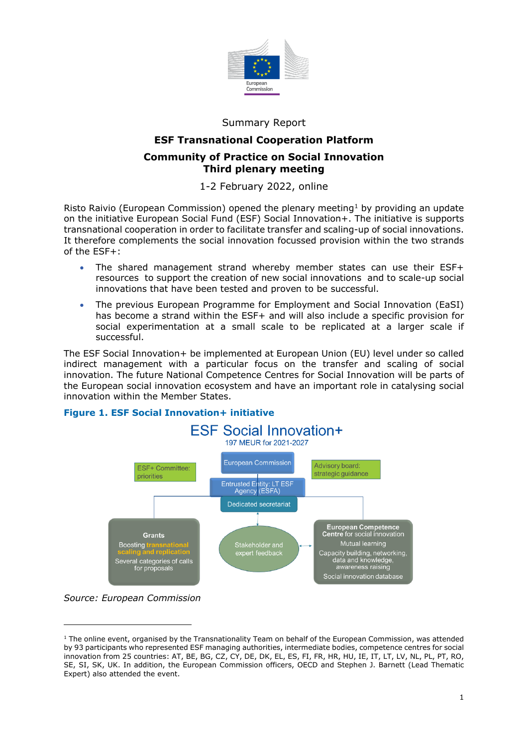

## Summary Report

# **ESF Transnational Cooperation Platform Community of Practice on Social Innovation Third plenary meeting**

# 1-2 February 2022, online

Risto Raivio (European Commission) opened the plenary meeting<sup>[1](#page-0-0)</sup> by providing an update on the initiative European Social Fund (ESF) Social Innovation+. The initiative is supports transnational cooperation in order to facilitate transfer and scaling-up of social innovations. It therefore complements the social innovation focussed provision within the two strands of the ESF+:

- The shared management strand whereby member states can use their ESF+ resources to support the creation of new social innovations and to scale-up social innovations that have been tested and proven to be successful.
- The previous European Programme for Employment and Social Innovation (EaSI) has become a strand within the ESF+ and will also include a specific provision for social experimentation at a small scale to be replicated at a larger scale if successful.

The ESF Social Innovation+ be implemented at European Union (EU) level under so called indirect management with a particular focus on the transfer and scaling of social innovation. The future National Competence Centres for Social Innovation will be parts of the European social innovation ecosystem and have an important role in catalysing social innovation within the Member States.



## **Figure 1. ESF Social Innovation+ initiative**

*Source: European Commission*

<span id="page-0-0"></span> $1$  The online event, organised by the Transnationality Team on behalf of the European Commission, was attended by 93 participants who represented ESF managing authorities, intermediate bodies, competence centres for social innovation from 25 countries: AT, BE, BG, CZ, CY, DE, DK, EL, ES, FI, FR, HR, HU, IE, IT, LT, LV, NL, PL, PT, RO, SE, SI, SK, UK. In addition, the European Commission officers, OECD and Stephen J. Barnett (Lead Thematic Expert) also attended the event.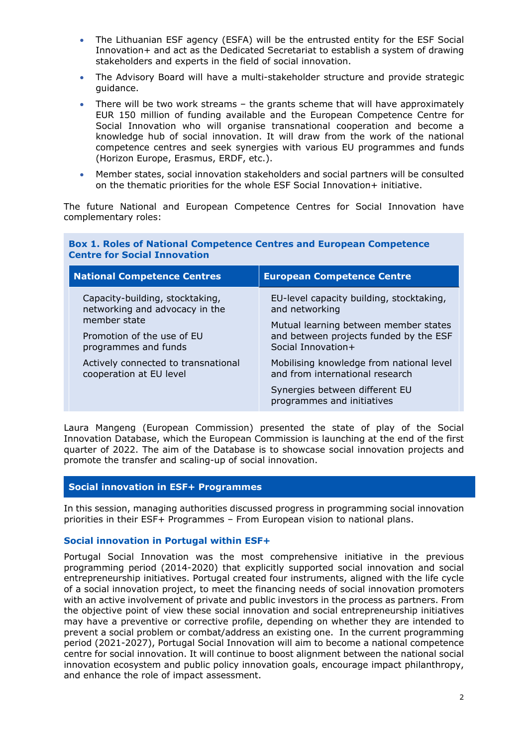- The Lithuanian ESF agency (ESFA) will be the entrusted entity for the ESF Social Innovation+ and act as the Dedicated Secretariat to establish a system of drawing stakeholders and experts in the field of social innovation.
- The Advisory Board will have a multi-stakeholder structure and provide strategic guidance.
- There will be two work streams the grants scheme that will have approximately EUR 150 million of funding available and the European Competence Centre for Social Innovation who will organise transnational cooperation and become a knowledge hub of social innovation. It will draw from the work of the national competence centres and seek synergies with various EU programmes and funds (Horizon Europe, Erasmus, ERDF, etc.).
- Member states, social innovation stakeholders and social partners will be consulted on the thematic priorities for the whole ESF Social Innovation+ initiative.

The future National and European Competence Centres for Social Innovation have complementary roles:

**Box 1. Roles of National Competence Centres and European Competence** 

| Centre Tor Social Innovation                                                                                                            |                                                                                                       |  |
|-----------------------------------------------------------------------------------------------------------------------------------------|-------------------------------------------------------------------------------------------------------|--|
| <b>National Competence Centres</b>                                                                                                      | <b>European Competence Centre</b>                                                                     |  |
| Capacity-building, stocktaking,<br>networking and advocacy in the<br>member state<br>Promotion of the use of EU<br>programmes and funds | EU-level capacity building, stocktaking,<br>and networking                                            |  |
|                                                                                                                                         | Mutual learning between member states<br>and between projects funded by the ESF<br>Social Innovation+ |  |
| Actively connected to transnational<br>cooperation at EU level                                                                          | Mobilising knowledge from national level<br>and from international research                           |  |
|                                                                                                                                         | Synergies between different EU<br>programmes and initiatives                                          |  |

Laura Mangeng (European Commission) presented the state of play of the Social Innovation Database, which the European Commission is launching at the end of the first quarter of 2022. The aim of the Database is to showcase social innovation projects and promote the transfer and scaling-up of social innovation.

### **Social innovation in ESF+ Programmes**

**Centre for Social Innovation**

In this session, managing authorities discussed progress in programming social innovation priorities in their ESF+ Programmes – From European vision to national plans.

#### **Social innovation in Portugal within ESF+**

Portugal Social Innovation was the most comprehensive initiative in the previous programming period (2014-2020) that explicitly supported social innovation and social entrepreneurship initiatives. Portugal created four instruments, aligned with the life cycle of a social innovation project, to meet the financing needs of social innovation promoters with an active involvement of private and public investors in the process as partners. From the objective point of view these social innovation and social entrepreneurship initiatives may have a preventive or corrective profile, depending on whether they are intended to prevent a social problem or combat/address an existing one. In the current programming period (2021-2027), Portugal Social Innovation will aim to become a national competence centre for social innovation. It will continue to boost alignment between the national social innovation ecosystem and public policy innovation goals, encourage impact philanthropy, and enhance the role of impact assessment.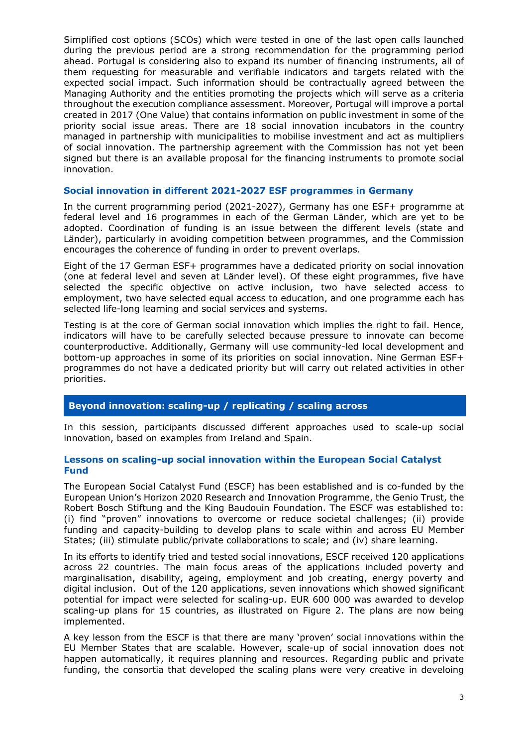Simplified cost options (SCOs) which were tested in one of the last open calls launched during the previous period are a strong recommendation for the programming period ahead. Portugal is considering also to expand its number of financing instruments, all of them requesting for measurable and verifiable indicators and targets related with the expected social impact. Such information should be contractually agreed between the Managing Authority and the entities promoting the projects which will serve as a criteria throughout the execution compliance assessment. Moreover, Portugal will improve a portal created in 2017 (One Value) that contains information on public investment in some of the priority social issue areas. There are 18 social innovation incubators in the country managed in partnership with municipalities to mobilise investment and act as multipliers of social innovation. The partnership agreement with the Commission has not yet been signed but there is an available proposal for the financing instruments to promote social innovation.

## **Social innovation in different 2021-2027 ESF programmes in Germany**

In the current programming period (2021-2027), Germany has one ESF+ programme at federal level and 16 programmes in each of the German Länder, which are yet to be adopted. Coordination of funding is an issue between the different levels (state and Länder), particularly in avoiding competition between programmes, and the Commission encourages the coherence of funding in order to prevent overlaps.

Eight of the 17 German ESF+ programmes have a dedicated priority on social innovation (one at federal level and seven at Länder level). Of these eight programmes, five have selected the specific objective on active inclusion, two have selected access to employment, two have selected equal access to education, and one programme each has selected life-long learning and social services and systems.

Testing is at the core of German social innovation which implies the right to fail. Hence, indicators will have to be carefully selected because pressure to innovate can become counterproductive. Additionally, Germany will use community-led local development and bottom-up approaches in some of its priorities on social innovation. Nine German ESF+ programmes do not have a dedicated priority but will carry out related activities in other priorities.

## **Beyond innovation: scaling-up / replicating / scaling across**

In this session, participants discussed different approaches used to scale-up social innovation, based on examples from Ireland and Spain.

### **Lessons on scaling-up social innovation within the European Social Catalyst Fund**

The European Social Catalyst Fund (ESCF) has been established and is co-funded by the European Union's Horizon 2020 Research and Innovation Programme, the Genio Trust, the Robert Bosch Stiftung and the King Baudouin Foundation. The ESCF was established to: (i) find "proven" innovations to overcome or reduce societal challenges; (ii) provide funding and capacity-building to develop plans to scale within and across EU Member States; (iii) stimulate public/private collaborations to scale; and (iv) share learning.

In its efforts to identify tried and tested social innovations, ESCF received 120 applications across 22 countries. The main focus areas of the applications included poverty and marginalisation, disability, ageing, employment and job creating, energy poverty and digital inclusion. Out of the 120 applications, seven innovations which showed significant potential for impact were selected for scaling-up. EUR 600 000 was awarded to develop scaling-up plans for 15 countries, as illustrated on Figure 2. The plans are now being implemented.

A key lesson from the ESCF is that there are many 'proven' social innovations within the EU Member States that are scalable. However, scale-up of social innovation does not happen automatically, it requires planning and resources. Regarding public and private funding, the consortia that developed the scaling plans were very creative in develoing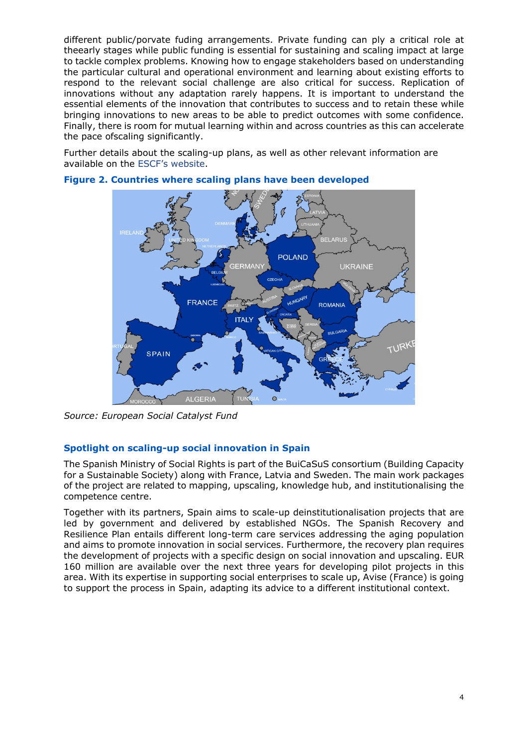different public/porvate fuding arrangements. Private funding can ply a critical role at theearly stages while public funding is essential for sustaining and scaling impact at large to tackle complex problems. Knowing how to engage stakeholders based on understanding the particular cultural and operational environment and learning about existing efforts to respond to the relevant social challenge are also critical for success. Replication of innovations without any adaptation rarely happens. It is important to understand the essential elements of the innovation that contributes to success and to retain these while bringing innovations to new areas to be able to predict outcomes with some confidence. Finally, there is room for mutual learning within and across countries as this can accelerate the pace ofscaling significantly.

Further details about the scaling-up plans, as well as other relevant information are available on the [ESCF's website.](https://www.euscf.eu/scaling-plans)



#### **Figure 2. Countries where scaling plans have been developed**

*Source: European Social Catalyst Fund*

## **Spotlight on scaling-up social innovation in Spain**

The Spanish Ministry of Social Rights is part of the BuiCaSuS consortium (Building Capacity for a Sustainable Society) along with France, Latvia and Sweden. The main work packages of the project are related to mapping, upscaling, knowledge hub, and institutionalising the competence centre.

Together with its partners, Spain aims to scale-up deinstitutionalisation projects that are led by government and delivered by established NGOs. The Spanish Recovery and Resilience Plan entails different long-term care services addressing the aging population and aims to promote innovation in social services. Furthermore, the recovery plan requires the development of projects with a specific design on social innovation and upscaling. EUR 160 million are available over the next three years for developing pilot projects in this area. With its expertise in supporting social enterprises to scale up, Avise (France) is going to support the process in Spain, adapting its advice to a different institutional context.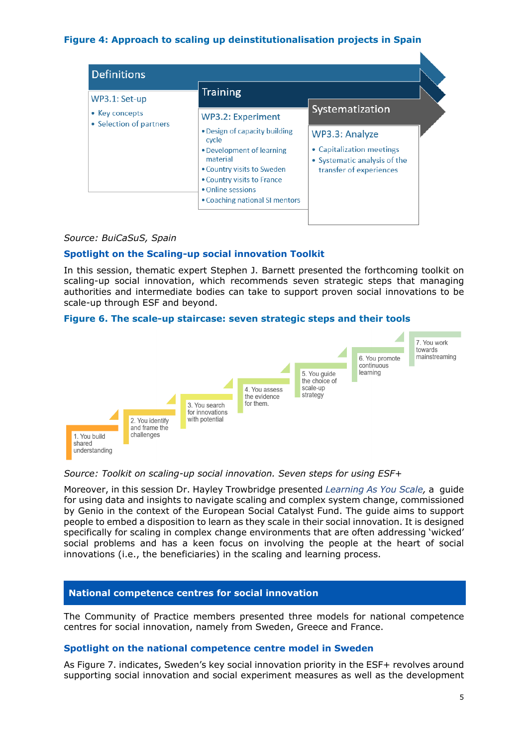## **Figure 4: Approach to scaling up deinstitutionalisation projects in Spain**

|                                 | Training                                                                                                                                                                                           |                                                                                                        |
|---------------------------------|----------------------------------------------------------------------------------------------------------------------------------------------------------------------------------------------------|--------------------------------------------------------------------------------------------------------|
| WP3.1: Set-up<br>• Key concepts | <b>WP3.2: Experiment</b>                                                                                                                                                                           | Systematization                                                                                        |
| • Selection of partners         | • Design of capacity building<br>cycle<br>• Development of learning<br>material<br>• Country visits to Sweden<br>• Country visits to France<br>• Online sessions<br>• Coaching national SI mentors | WP3.3: Analyze<br>• Capitalization meetings<br>• Systematic analysis of the<br>transfer of experiences |

### *Source: BuiCaSuS, Spain*

## **Spotlight on the Scaling-up social innovation Toolkit**

In this session, thematic expert Stephen J. Barnett presented the forthcoming toolkit on scaling-up social innovation, which recommends seven strategic steps that managing authorities and intermediate bodies can take to support proven social innovations to be scale-up through ESF and beyond.

### **Figure 6. The scale-up staircase: seven strategic steps and their tools**



### *Source: Toolkit on scaling-up social innovation. Seven steps for using ESF+*

Moreover, in this session Dr. Hayley Trowbridge presented*[Learning As You Scale,](https://peoplesvoicemedia.co.uk/wp-content/uploads/2022/02/Learning-as-you-scale.pdf)* a guide for using data and insights to navigate scaling and complex system change, commissioned by Genio in the context of the European Social Catalyst Fund. The guide aims to support people to embed a disposition to learn as they scale in their social innovation. It is designed specifically for scaling in complex change environments that are often addressing 'wicked' social problems and has a keen focus on involving the people at the heart of social innovations (i.e., the beneficiaries) in the scaling and learning process.

### **National competence centres for social innovation**

The Community of Practice members presented three models for national competence centres for social innovation, namely from Sweden, Greece and France.

### **Spotlight on the national competence centre model in Sweden**

As Figure 7. indicates, Sweden's key social innovation priority in the ESF+ revolves around supporting social innovation and social experiment measures as well as the development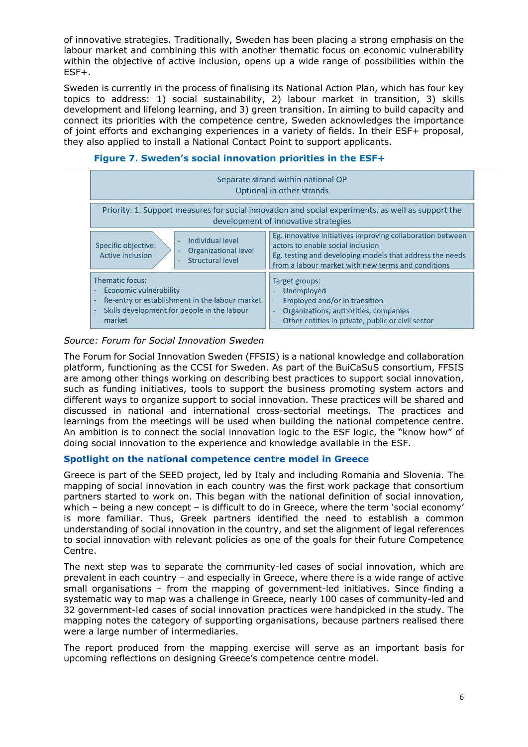of innovative strategies. Traditionally, Sweden has been placing a strong emphasis on the labour market and combining this with another thematic focus on economic vulnerability within the objective of active inclusion, opens up a wide range of possibilities within the ESF+.

Sweden is currently in the process of finalising its National Action Plan, which has four key topics to address: 1) social sustainability, 2) labour market in transition, 3) skills development and lifelong learning, and 3) green transition. In aiming to build capacity and connect its priorities with the competence centre, Sweden acknowledges the importance of joint efforts and exchanging experiences in a variety of fields. In their ESF+ proposal, they also applied to install a National Contact Point to support applicants.

| Separate strand within national OP<br>Optional in other strands                                                                                            |                                                                                                                                                                                                                   |  |
|------------------------------------------------------------------------------------------------------------------------------------------------------------|-------------------------------------------------------------------------------------------------------------------------------------------------------------------------------------------------------------------|--|
| Priority: 1. Support measures for social innovation and social experiments, as well as support the<br>development of innovative strategies                 |                                                                                                                                                                                                                   |  |
| Individual level<br>$\blacksquare$<br>Specific objective:<br>Organizational level<br>$\overline{\phantom{a}}$<br>Active inclusion<br>Structural level<br>÷ | Eg. innovative initiatives improving collaboration between<br>actors to enable social inclusion<br>Eg. testing and developing models that address the needs<br>from a labour market with new terms and conditions |  |
| Thematic focus:<br>Economic vulnerability<br>Re-entry or establishment in the labour market<br>٠<br>Skills development for people in the labour<br>market  | Target groups:<br>Unemployed<br>٠<br>Employed and/or in transition<br>Organizations, authorities, companies<br>Other entities in private, public or civil sector                                                  |  |

## **Figure 7. Sweden's social innovation priorities in the ESF+**

## *Source: Forum for Social Innovation Sweden*

The Forum for Social Innovation Sweden (FFSIS) is a national knowledge and collaboration platform, functioning as the CCSI for Sweden. As part of the BuiCaSuS consortium, FFSIS are among other things working on describing best practices to support social innovation, such as funding initiatives, tools to support the business promoting system actors and different ways to organize support to social innovation. These practices will be shared and discussed in national and international cross-sectorial meetings. The practices and learnings from the meetings will be used when building the national competence centre. An ambition is to connect the social innovation logic to the ESF logic, the "know how" of doing social innovation to the experience and knowledge available in the ESF.

### **Spotlight on the national competence centre model in Greece**

Greece is part of the SEED project, led by Italy and including Romania and Slovenia. The mapping of social innovation in each country was the first work package that consortium partners started to work on. This began with the national definition of social innovation, which – being a new concept – is difficult to do in Greece, where the term 'social economy' is more familiar. Thus, Greek partners identified the need to establish a common understanding of social innovation in the country, and set the alignment of legal references to social innovation with relevant policies as one of the goals for their future Competence Centre.

The next step was to separate the community-led cases of social innovation, which are prevalent in each country – and especially in Greece, where there is a wide range of active small organisations – from the mapping of government-led initiatives. Since finding a systematic way to map was a challenge in Greece, nearly 100 cases of community-led and 32 government-led cases of social innovation practices were handpicked in the study. The mapping notes the category of supporting organisations, because partners realised there were a large number of intermediaries.

The report produced from the mapping exercise will serve as an important basis for upcoming reflections on designing Greece's competence centre model.